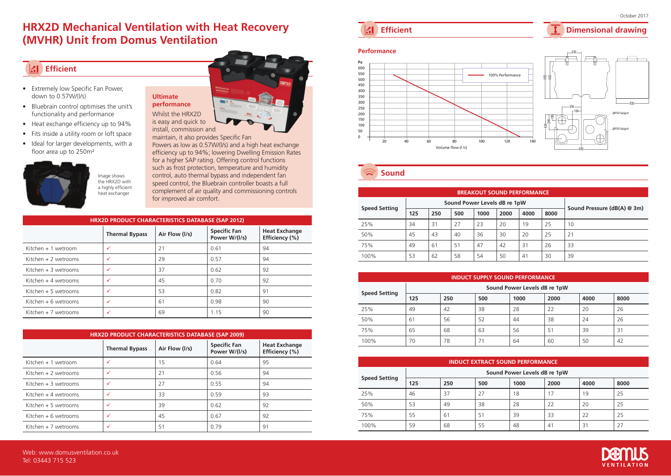# **HRX2D Mechanical Ventilation with Heat Recovery (MVHR) Unit from Domus Ventilation**

# **Efficient**

- Extremely low Specific Fan Power, down to 0.57W/(l/s)
- Bluebrain control optimises the unit's functionality and performance
- Heat exchange efficiency up to 94%
- Fits inside a utility room or loft space
- Ideal for larger developments, with a floor area up to 250m<sup>2</sup>



Image shows the HRX2D with a highly efficient heat exchanger

**Ultimate performance**

is easy and quick to install, commission and

Powers as low as 0.57W/(l/s) and a high heat exchange efficiency up to 94%; lowering Dwelling Emission Rates for a higher SAP rating. Offering control functions such as frost protection, temperature and humidity control, auto thermal bypass and independent fan speed control, the Bluebrain controller boasts a full complement of air quality and commissioning controls for improved air comfort.

| HRX2D PRODUCT CHARACTERISTICS DATABASE (SAP 2012) |                       |                |                                      |                                        |  |  |  |  |
|---------------------------------------------------|-----------------------|----------------|--------------------------------------|----------------------------------------|--|--|--|--|
|                                                   | <b>Thermal Bypass</b> | Air Flow (I/s) | <b>Specific Fan</b><br>Power W/(I/s) | <b>Heat Exchange</b><br>Efficiency (%) |  |  |  |  |
| Kitchen $+1$ wetroom                              | ✓                     | 21             | 0.61                                 | 94                                     |  |  |  |  |
| Kitchen $+2$ wetrooms                             | $\checkmark$          | 29             | 0.57                                 | 94                                     |  |  |  |  |
| Kitchen $+3$ wetrooms                             | $\checkmark$          | 37             | 0.62                                 | 92                                     |  |  |  |  |
| Kitchen $+4$ wetrooms                             | ✓                     | 45             | 0.70                                 | 92                                     |  |  |  |  |
| Kitchen $+5$ wetrooms                             | ✓                     | 53             | 0.82                                 | 91                                     |  |  |  |  |
| Kitchen $+6$ wetrooms                             | ✓                     | 61             | 0.98                                 | 90                                     |  |  |  |  |
| Kitchen + 7 wetrooms                              | ✓                     | 69             | 1.15                                 | 90                                     |  |  |  |  |

| <b>HRX2D PRODUCT CHARACTERISTICS DATABASE (SAP 2009)</b> |                       |                |                                      |                                        |  |  |  |  |  |
|----------------------------------------------------------|-----------------------|----------------|--------------------------------------|----------------------------------------|--|--|--|--|--|
|                                                          | <b>Thermal Bypass</b> | Air Flow (I/s) | <b>Specific Fan</b><br>Power W/(I/s) | <b>Heat Exchange</b><br>Efficiency (%) |  |  |  |  |  |
| Kitchen $+1$ wetroom                                     | ✓                     | 15             | 0.64                                 | 95                                     |  |  |  |  |  |
| Kitchen $+2$ wetrooms                                    | ✓                     | 21             | 0.56                                 | 94                                     |  |  |  |  |  |
| Kitchen $+3$ wetrooms                                    | ✓                     | 27             | 0.55                                 | 94                                     |  |  |  |  |  |
| Kitchen $+4$ wetrooms                                    | $\checkmark$          | 33             | 0.59                                 | 93                                     |  |  |  |  |  |
| Kitchen $+5$ wetrooms                                    | $\checkmark$          | 39             | 0.62                                 | 92                                     |  |  |  |  |  |
| Kitchen $+6$ wetrooms                                    | ✓                     | 45             | 0.67                                 | 92                                     |  |  |  |  |  |
| Kitchen $+7$ wetrooms                                    | ✓                     | 51             | 0.79                                 | 91                                     |  |  |  |  |  |

Whilst the HRX2D maintain, it also provides Specific Fan **Efficient** 

# **Dimensional drawing**

October 2017



sound

| <b>BREAKOUT SOUND PERFORMANCE</b> |                              |     |     |      |      |      |      |                             |  |
|-----------------------------------|------------------------------|-----|-----|------|------|------|------|-----------------------------|--|
| <b>Speed Setting</b>              | Sound Power Levels dB re 1pW |     |     |      |      |      |      |                             |  |
|                                   | 125                          | 250 | 500 | 1000 | 2000 | 4000 | 8000 | Sound Pressure (dB(A) @ 3m) |  |
| 25%                               | 34                           | 31  | 27  | 23   | 20   | 19   | 25   | 10                          |  |
| 50%                               | 45                           | 43  | 40  | 36   | 30   | 20   | 25   | 21                          |  |
| 75%                               | 49                           | 61  | 51  | 47   | 42   | 31   | 26   | 33                          |  |
| 100%                              | 53                           | 62  | 58  | 54   | 50   | 41   | 30   | 39                          |  |

| <b>INDUCT SUPPLY SOUND PERFORMANCE</b> |                              |     |     |      |      |      |      |  |  |
|----------------------------------------|------------------------------|-----|-----|------|------|------|------|--|--|
| <b>Speed Setting</b>                   | Sound Power Levels dB re 1pW |     |     |      |      |      |      |  |  |
|                                        | 125                          | 250 | 500 | 1000 | 2000 | 4000 | 8000 |  |  |
| 25%                                    | 49                           | 42  | 38  | 28   | 22   | 20   | 26   |  |  |
| 50%                                    | 61                           | 56  | 52  | 44   | 38   | 24   | 26   |  |  |
| 75%                                    | 65                           | 68  | 63  | 56   | 51   | 39   | 31   |  |  |
| 100%                                   | 70                           | 78  | 71  | 64   | 60   | 50   | 42   |  |  |

| <b>INDUCT EXTRACT SOUND PERFORMANCE</b> |                              |     |     |      |      |      |      |  |  |
|-----------------------------------------|------------------------------|-----|-----|------|------|------|------|--|--|
| <b>Speed Setting</b>                    | Sound Power Levels dB re 1pW |     |     |      |      |      |      |  |  |
|                                         | 125                          | 250 | 500 | 1000 | 2000 | 4000 | 8000 |  |  |
| 25%                                     | 46                           | 37  | 27  | 18   | 17   | 19   | 25   |  |  |
| 50%                                     | 53                           | 49  | 38  | 28   | 22   | 20   | 25   |  |  |
| 75%                                     | 55                           | 61  | 51  | 39   | 33   | 22   | 25   |  |  |
| 100%                                    | 59                           | 68  | 55  | 48   | 41   | 31   | 27   |  |  |